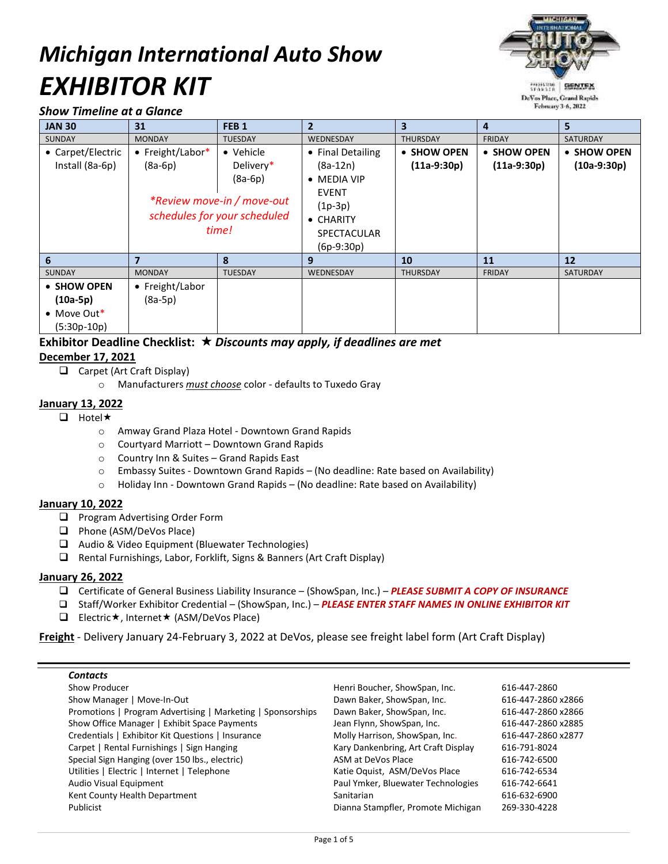# *Michigan International Auto Show EXHIBITOR KIT*



#### *Show Timeline at a Glance*

| <b>JAN 30</b>                                             | 31                            | FEB <sub>1</sub>                                                                                           | $\overline{2}$                                                                                                                                 | 3                            | 4                            | 5.                           |
|-----------------------------------------------------------|-------------------------------|------------------------------------------------------------------------------------------------------------|------------------------------------------------------------------------------------------------------------------------------------------------|------------------------------|------------------------------|------------------------------|
| <b>SUNDAY</b>                                             | <b>MONDAY</b>                 | <b>TUESDAY</b>                                                                                             | WEDNESDAY                                                                                                                                      | <b>THURSDAY</b>              | <b>FRIDAY</b>                | <b>SATURDAY</b>              |
| • Carpet/Electric<br>Install (8a-6p)                      | • Freight/Labor*<br>$(8a-6p)$ | • Vehicle<br>Delivery*<br>$(8a-6p)$<br>*Review move-in / move-out<br>schedules for your scheduled<br>time! | • Final Detailing<br>$(8a-12n)$<br>$\bullet$ MEDIA VIP<br><b>EVENT</b><br>$(1p-3p)$<br>$\bullet$ CHARITY<br><b>SPECTACULAR</b><br>$(6p-9:30p)$ | • SHOW OPEN<br>$(11a-9:30p)$ | • SHOW OPEN<br>$(11a-9:30p)$ | • SHOW OPEN<br>$(10a-9:30p)$ |
| 6                                                         | $\overline{7}$                | 8                                                                                                          | 9                                                                                                                                              | 10                           | 11                           | 12                           |
| <b>SUNDAY</b>                                             | <b>MONDAY</b>                 | <b>TUESDAY</b>                                                                                             | <b>WEDNESDAY</b>                                                                                                                               | <b>THURSDAY</b>              | <b>FRIDAY</b>                | <b>SATURDAY</b>              |
| • SHOW OPEN<br>$(10a-5p)$<br>• Move Out*<br>$(5:30p-10p)$ | • Freight/Labor<br>$(8a-5p)$  |                                                                                                            |                                                                                                                                                |                              |                              |                              |

#### **Exhibitor Deadline Checklist:**  *Discounts may apply, if deadlines are met* **December 17, 2021**

- □ Carpet (Art Craft Display)
	- o Manufacturers *must choose* color defaults to Tuxedo Gray

#### **January 13, 2022**

- $\Box$  Hotel  $\star$ 
	- o Amway Grand Plaza Hotel Downtown Grand Rapids
	- o Courtyard Marriott Downtown Grand Rapids
	- o Country Inn & Suites Grand Rapids East
	- o Embassy Suites Downtown Grand Rapids (No deadline: Rate based on Availability)
	- o Holiday Inn Downtown Grand Rapids (No deadline: Rate based on Availability)

#### **January 10, 2022**

- **Q** Program Advertising Order Form
- □ Phone (ASM/DeVos Place)
- □ Audio & Video Equipment (Bluewater Technologies)
- Rental Furnishings, Labor, Forklift, Signs & Banners (Art Craft Display)

#### **January 26, 2022**

- Certificate of General Business Liability Insurance (ShowSpan, Inc.) *PLEASE SUBMIT A COPY OF INSURANCE*
- Staff/Worker Exhibitor Credential (ShowSpan, Inc.) *PLEASE ENTER STAFF NAMES IN ONLINE EXHIBITOR KIT*
- **Electric \*, Internet \* (ASM/DeVos Place)**

**Freight** - Delivery January 24-February 3, 2022 at DeVos, please see freight label form (Art Craft Display)

#### *Contacts*

| Henri Boucher, ShowSpan, Inc.       | 616-447-2860       |
|-------------------------------------|--------------------|
| Dawn Baker, ShowSpan, Inc.          | 616-447-2860 x2866 |
| Dawn Baker, ShowSpan, Inc.          | 616-447-2860 x2866 |
| Jean Flynn, ShowSpan, Inc.          | 616-447-2860 x2885 |
| Molly Harrison, ShowSpan, Inc.      | 616-447-2860 x2877 |
| Kary Dankenbring, Art Craft Display | 616-791-8024       |
| ASM at DeVos Place                  | 616-742-6500       |
| Katie Oquist, ASM/DeVos Place       | 616-742-6534       |
| Paul Ymker, Bluewater Technologies  | 616-742-6641       |
| Sanitarian                          | 616-632-6900       |
| Dianna Stampfler, Promote Michigan  | 269-330-4228       |
|                                     |                    |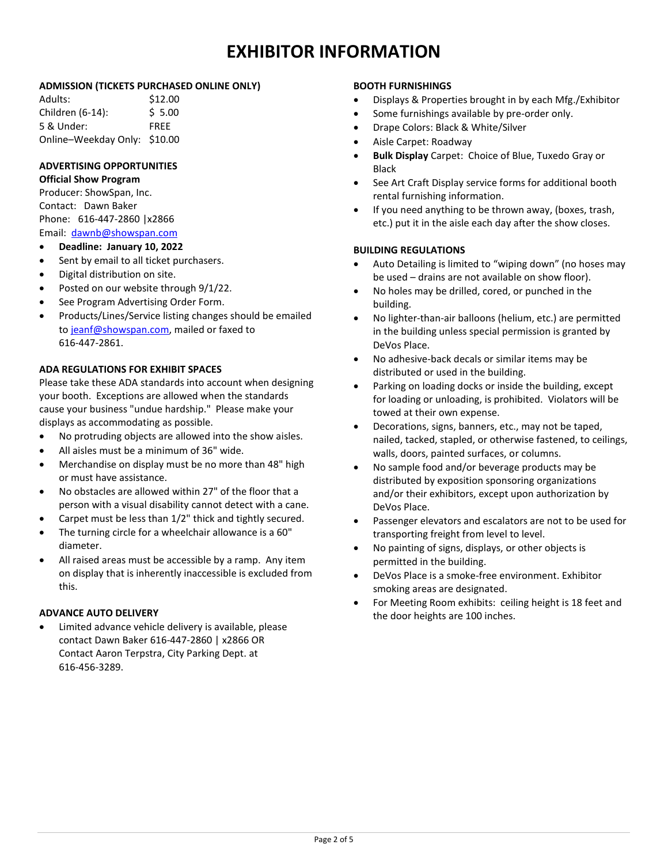## **EXHIBITOR INFORMATION**

#### **ADMISSION (TICKETS PURCHASED ONLINE ONLY)**

| Adults:                      | \$12.00     |
|------------------------------|-------------|
| Children (6-14):             | \$5.00      |
| 5 & Under:                   | <b>FREE</b> |
| Online-Weekday Only: \$10.00 |             |

### **ADVERTISING OPPORTUNITIES**

#### **Official Show Program**

Producer: ShowSpan, Inc. Contact: Dawn Baker Phone: 616-447-2860 |x2866 Email: [dawnb@showspan.com](mailto:dawnb@showspan.com)

- **Deadline: January 10, 2022**
- Sent by email to all ticket purchasers.
- Digital distribution on site.
- Posted on our website through 9/1/22.
- See Program Advertising Order Form.
- Products/Lines/Service listing changes should be emailed to [jeanf@showspan.com,](mailto:Jeanf@ShowSpan.com) mailed or faxed to 616-447-2861.

#### **ADA REGULATIONS FOR EXHIBIT SPACES**

Please take these ADA standards into account when designing your booth. Exceptions are allowed when the standards cause your business "undue hardship." Please make your displays as accommodating as possible.

- No protruding objects are allowed into the show aisles.
- All aisles must be a minimum of 36" wide.
- Merchandise on display must be no more than 48" high or must have assistance.
- No obstacles are allowed within 27" of the floor that a person with a visual disability cannot detect with a cane.
- Carpet must be less than 1/2" thick and tightly secured.
- The turning circle for a wheelchair allowance is a 60" diameter.
- All raised areas must be accessible by a ramp. Any item on display that is inherently inaccessible is excluded from this.

#### **ADVANCE AUTO DELIVERY**

 Limited advance vehicle delivery is available, please contact Dawn Baker 616-447-2860 | x2866 OR Contact Aaron Terpstra, City Parking Dept. at 616-456-3289.

#### **BOOTH FURNISHINGS**

- Displays & Properties brought in by each Mfg./Exhibitor
- Some furnishings available by pre-order only.
- Drape Colors: Black & White/Silver
- Aisle Carpet: Roadway
- **Bulk Display** Carpet: Choice of Blue, Tuxedo Gray or Black
- See Art Craft Display service forms for additional booth rental furnishing information.
- If you need anything to be thrown away, (boxes, trash, etc.) put it in the aisle each day after the show closes.

#### **BUILDING REGULATIONS**

- Auto Detailing is limited to "wiping down" (no hoses may be used – drains are not available on show floor).
- No holes may be drilled, cored, or punched in the building.
- No lighter-than-air balloons (helium, etc.) are permitted in the building unless special permission is granted by DeVos Place.
- No adhesive-back decals or similar items may be distributed or used in the building.
- Parking on loading docks or inside the building, except for loading or unloading, is prohibited. Violators will be towed at their own expense.
- Decorations, signs, banners, etc., may not be taped, nailed, tacked, stapled, or otherwise fastened, to ceilings, walls, doors, painted surfaces, or columns.
- No sample food and/or beverage products may be distributed by exposition sponsoring organizations and/or their exhibitors, except upon authorization by DeVos Place.
- Passenger elevators and escalators are not to be used for transporting freight from level to level.
- No painting of signs, displays, or other objects is permitted in the building.
- DeVos Place is a smoke-free environment. Exhibitor smoking areas are designated.
- For Meeting Room exhibits: ceiling height is 18 feet and the door heights are 100 inches.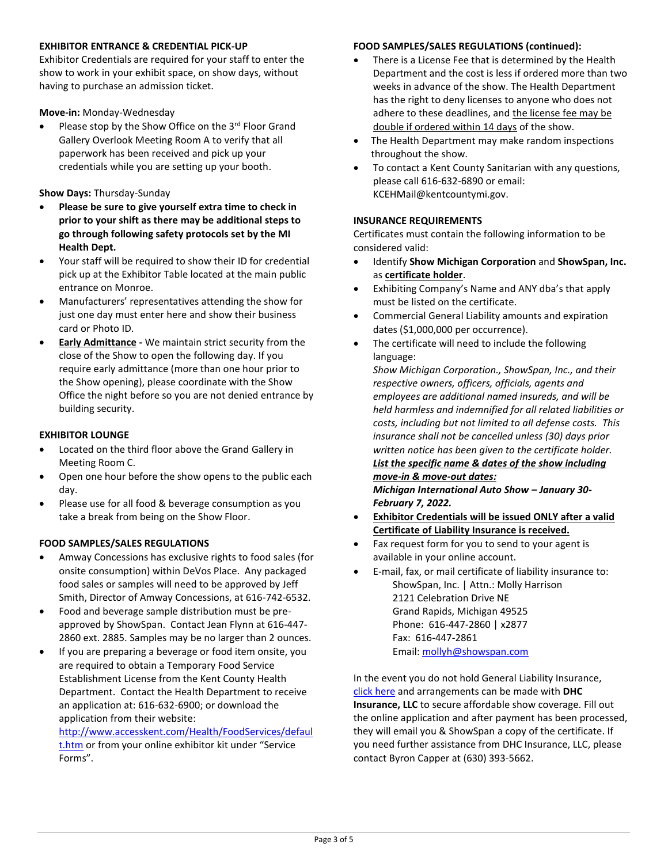#### **EXHIBITOR ENTRANCE & CREDENTIAL PICK-UP**

Exhibitor Credentials are required for your staff to enter the show to work in your exhibit space, on show days, without having to purchase an admission ticket.

**Move-in:** Monday-Wednesday

Please stop by the Show Office on the 3<sup>rd</sup> Floor Grand Gallery Overlook Meeting Room A to verify that all paperwork has been received and pick up your credentials while you are setting up your booth.

**Show Days:** Thursday-Sunday

- **Please be sure to give yourself extra time to check in prior to your shift as there may be additional steps to go through following safety protocols set by the MI Health Dept.**
- Your staff will be required to show their ID for credential pick up at the Exhibitor Table located at the main public entrance on Monroe.
- Manufacturers' representatives attending the show for just one day must enter here and show their business card or Photo ID.
- **Early Admittance -** We maintain strict security from the close of the Show to open the following day. If you require early admittance (more than one hour prior to the Show opening), please coordinate with the Show Office the night before so you are not denied entrance by building security.

#### **EXHIBITOR LOUNGE**

- Located on the third floor above the Grand Gallery in Meeting Room C.
- Open one hour before the show opens to the public each day.
- Please use for all food & beverage consumption as you take a break from being on the Show Floor.

#### **FOOD SAMPLES/SALES REGULATIONS**

- Amway Concessions has exclusive rights to food sales (for onsite consumption) within DeVos Place. Any packaged food sales or samples will need to be approved by Jeff Smith, Director of Amway Concessions, at 616-742-6532.
- Food and beverage sample distribution must be preapproved by ShowSpan. Contact Jean Flynn at 616-447- 2860 ext. 2885. Samples may be no larger than 2 ounces.
- If you are preparing a beverage or food item onsite, you are required to obtain a Temporary Food Service Establishment License from the Kent County Health Department. Contact the Health Department to receive an application at: 616-632-6900; or download the application from their website:

[http://www.accesskent.com/Health/FoodServices/defaul](http://www.accesskent.com/Health/FoodServices/default.htm) [t.htm](http://www.accesskent.com/Health/FoodServices/default.htm) or from your online exhibitor kit under "Service Forms".

#### **FOOD SAMPLES/SALES REGULATIONS (continued):**

- There is a License Fee that is determined by the Health Department and the cost is less if ordered more than two weeks in advance of the show. The Health Department has the right to deny licenses to anyone who does not adhere to these deadlines, and the license fee may be double if ordered within 14 days of the show.
- The Health Department may make random inspections throughout the show.
- To contact a Kent County Sanitarian with any questions, please call 616-632-6890 or email: KCEHMail@kentcountymi.gov.

#### **INSURANCE REQUIREMENTS**

Certificates must contain the following information to be considered valid:

- Identify **Show Michigan Corporation** and **ShowSpan, Inc.** as **certificate holder**.
- Exhibiting Company's Name and ANY dba's that apply must be listed on the certificate.
- Commercial General Liability amounts and expiration dates (\$1,000,000 per occurrence).
- The certificate will need to include the following language:

*Show Michigan Corporation., ShowSpan, Inc., and their respective owners, officers, officials, agents and employees are additional named insureds, and will be held harmless and indemnified for all related liabilities or costs, including but not limited to all defense costs. This insurance shall not be cancelled unless (30) days prior written notice has been given to the certificate holder.*

*List the specific name & dates of the show including move-in & move-out dates:* 

*Michigan International Auto Show – January 30- February 7, 2022.*

- **Exhibitor Credentials will be issued ONLY after a valid Certificate of Liability Insurance is received.**
- Fax request form for you to send to your agent is available in your online account.
- E-mail, fax, or mail certificate of liability insurance to: ShowSpan, Inc. | Attn.: Molly Harrison 2121 Celebration Drive NE Grand Rapids, Michigan 49525 Phone: 616-447-2860 | x2877 Fax: 616-447-2861 Email: [mollyh@showspan.com](mailto:MollyH@showspan.com)

In the event you do not hold General Liability Insurance, [click here](https://linkprotect.cudasvc.com/url?a=https://securevendorinsurance.com/ShowSpan&c=E,1,fWzK7KnWfWYu_6Ibwg-VxSIeA0rW0Clei9BYd7hTk3ueX_ux2Y4EKYT-KVS7qck60-E2NfP7wptfSxXRyt_6VVgz3FCvpdVHRMZbtw,,&typo=1) and arrangements can be made with **DHC Insurance, LLC** to secure affordable show coverage. Fill out the online application and after payment has been processed, they will email you & ShowSpan a copy of the certificate. If you need further assistance from DHC Insurance, LLC, please contact Byron Capper at (630) 393-5662.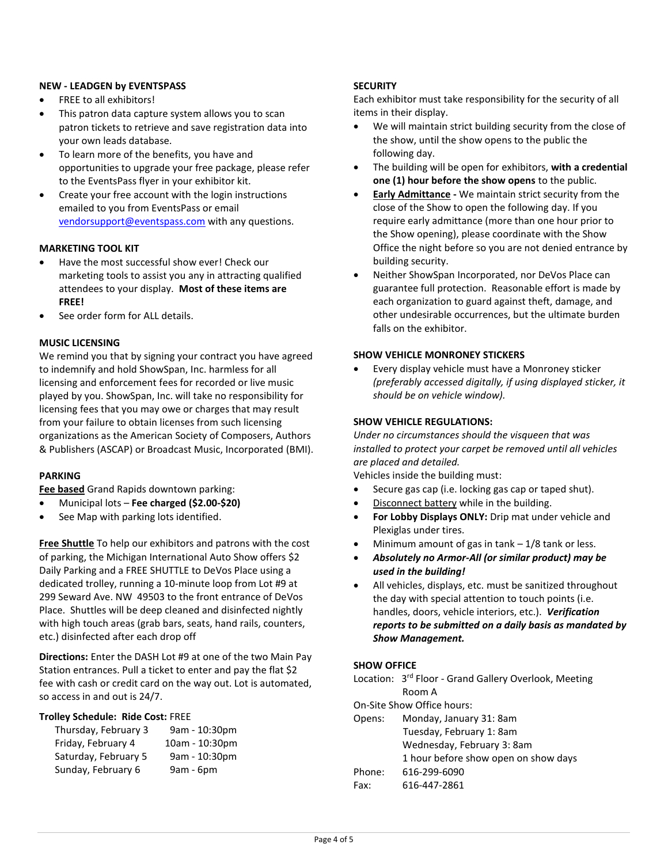#### **NEW - LEADGEN by EVENTSPASS**

- FREE to all exhibitors!
- This patron data capture system allows you to scan patron tickets to retrieve and save registration data into your own leads database.
- To learn more of the benefits, you have and opportunities to upgrade your free package, please refer to the EventsPass flyer in your exhibitor kit.
- Create your free account with the login instructions emailed to you from EventsPass or email [vendorsupport@eventspass.com](mailto:vendorsupport@eventspass.com) with any questions.

#### **MARKETING TOOL KIT**

- Have the most successful show ever! Check our marketing tools to assist you any in attracting qualified attendees to your display. **Most of these items are FREE!**
- See order form for ALL details.

#### **MUSIC LICENSING**

We remind you that by signing your contract you have agreed to indemnify and hold ShowSpan, Inc. harmless for all licensing and enforcement fees for recorded or live music played by you. ShowSpan, Inc. will take no responsibility for licensing fees that you may owe or charges that may result from your failure to obtain licenses from such licensing organizations as the American Society of Composers, Authors & Publishers (ASCAP) or Broadcast Music, Incorporated (BMI).

#### **PARKING**

**Fee based** Grand Rapids downtown parking:

- Municipal lots **Fee charged (\$2.00-\$20)**
- See Map with parking lots identified.

**Free Shuttle** To help our exhibitors and patrons with the cost of parking, the Michigan International Auto Show offers \$2 Daily Parking and a FREE SHUTTLE to DeVos Place using a dedicated trolley, running a 10-minute loop from Lot #9 at 299 Seward Ave. NW 49503 to the front entrance of DeVos Place. Shuttles will be deep cleaned and disinfected nightly with high touch areas (grab bars, seats, hand rails, counters, etc.) disinfected after each drop off

**Directions:** Enter the DASH Lot #9 at one of the two Main Pay Station entrances. Pull a ticket to enter and pay the flat \$2 fee with cash or credit card on the way out. Lot is automated, so access in and out is 24/7.

#### **Trolley Schedule: Ride Cost:** FREE

| Thursday, February 3 | 9am - 10:30pm  |
|----------------------|----------------|
| Friday, February 4   | 10am - 10:30pm |
| Saturday, February 5 | 9am - 10:30pm  |
| Sunday, February 6   | 9am - 6pm      |

#### **SECURITY**

Each exhibitor must take responsibility for the security of all items in their display.

- We will maintain strict building security from the close of the show, until the show opens to the public the following day.
- The building will be open for exhibitors, **with a credential one (1) hour before the show opens** to the public.
- **Early Admittance -** We maintain strict security from the close of the Show to open the following day. If you require early admittance (more than one hour prior to the Show opening), please coordinate with the Show Office the night before so you are not denied entrance by building security.
- Neither ShowSpan Incorporated, nor DeVos Place can guarantee full protection. Reasonable effort is made by each organization to guard against theft, damage, and other undesirable occurrences, but the ultimate burden falls on the exhibitor.

#### **SHOW VEHICLE MONRONEY STICKERS**

 Every display vehicle must have a Monroney sticker *(preferably accessed digitally, if using displayed sticker, it should be on vehicle window).*

#### **SHOW VEHICLE REGULATIONS:**

*Under no circumstances should the visqueen that was installed to protect your carpet be removed until all vehicles are placed and detailed.*

Vehicles inside the building must:

- Secure gas cap (i.e. locking gas cap or taped shut).
- Disconnect battery while in the building.
- **For Lobby Displays ONLY:** Drip mat under vehicle and Plexiglas under tires.
- Minimum amount of gas in tank  $-1/8$  tank or less.
- *Absolutely no Armor-All (or similar product) may be used in the building!*
- All vehicles, displays, etc. must be sanitized throughout the day with special attention to touch points (i.e. handles, doors, vehicle interiors, etc.). *Verification reports to be submitted on a daily basis as mandated by Show Management.*

#### **SHOW OFFICE**

Location: 3<sup>rd</sup> Floor - Grand Gallery Overlook, Meeting Room A

On-Site Show Office hours:

| Opens: | Monday, January 31: 8am              |
|--------|--------------------------------------|
|        | Tuesday, February 1: 8am             |
|        | Wednesday, February 3: 8am           |
|        | 1 hour before show open on show days |
| Phone: | 616-299-6090                         |
| Fax:   | 616-447-2861                         |